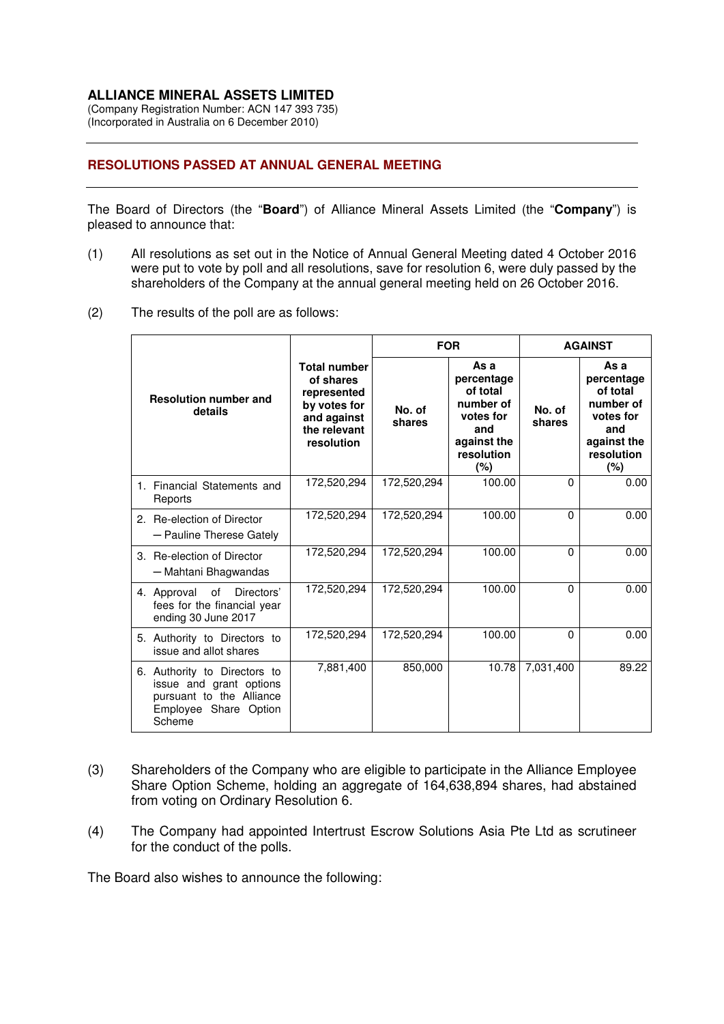## **ALLIANCE MINERAL ASSETS LIMITED**

(Company Registration Number: ACN 147 393 735) (Incorporated in Australia on 6 December 2010)

## **RESOLUTIONS PASSED AT ANNUAL GENERAL MEETING**

The Board of Directors (the "**Board**") of Alliance Mineral Assets Limited (the "**Company**") is pleased to announce that:

- (1) All resolutions as set out in the Notice of Annual General Meeting dated 4 October 2016 were put to vote by poll and all resolutions, save for resolution 6, were duly passed by the shareholders of the Company at the annual general meeting held on 26 October 2016.
- (2) The results of the poll are as follows:

|                                                                                                                        |                                                                                                              | <b>FOR</b>       |                                                                                                     | <b>AGAINST</b>   |                                                                                                     |
|------------------------------------------------------------------------------------------------------------------------|--------------------------------------------------------------------------------------------------------------|------------------|-----------------------------------------------------------------------------------------------------|------------------|-----------------------------------------------------------------------------------------------------|
| <b>Resolution number and</b><br>details                                                                                | <b>Total number</b><br>of shares<br>represented<br>by votes for<br>and against<br>the relevant<br>resolution | No. of<br>shares | As a<br>percentage<br>of total<br>number of<br>votes for<br>and<br>against the<br>resolution<br>(%) | No. of<br>shares | As a<br>percentage<br>of total<br>number of<br>votes for<br>and<br>against the<br>resolution<br>(%) |
| 1. Financial Statements and<br>Reports                                                                                 | 172,520,294                                                                                                  | 172,520,294      | 100.00                                                                                              | $\Omega$         | 0.00                                                                                                |
| 2. Re-election of Director<br>- Pauline Therese Gately                                                                 | 172,520,294                                                                                                  | 172,520,294      | 100.00                                                                                              | $\Omega$         | 0.00                                                                                                |
| 3. Re-election of Director<br>- Mahtani Bhagwandas                                                                     | 172,520,294                                                                                                  | 172,520,294      | 100.00                                                                                              | $\Omega$         | 0.00                                                                                                |
| of<br>Directors'<br>4. Approval<br>fees for the financial year<br>ending 30 June 2017                                  | 172,520,294                                                                                                  | 172,520,294      | 100.00                                                                                              | $\Omega$         | 0.00                                                                                                |
| 5. Authority to Directors to<br>issue and allot shares                                                                 | 172,520,294                                                                                                  | 172,520,294      | 100.00                                                                                              | $\Omega$         | 0.00                                                                                                |
| 6. Authority to Directors to<br>issue and grant options<br>pursuant to the Alliance<br>Employee Share Option<br>Scheme | 7,881,400                                                                                                    | 850,000          | 10.78                                                                                               | 7.031.400        | 89.22                                                                                               |

- (3) Shareholders of the Company who are eligible to participate in the Alliance Employee Share Option Scheme, holding an aggregate of 164,638,894 shares, had abstained from voting on Ordinary Resolution 6.
- (4) The Company had appointed Intertrust Escrow Solutions Asia Pte Ltd as scrutineer for the conduct of the polls.

The Board also wishes to announce the following: